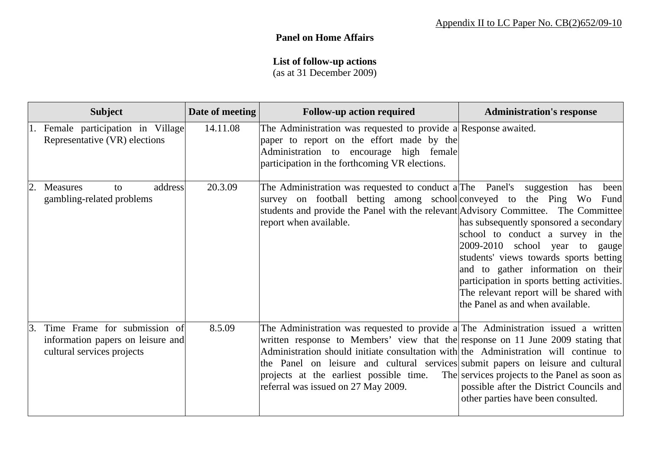## **Panel on Home Affairs**

## **List of follow-up actions**

(as at 31 December 2009)

| <b>Subject</b>                                                                                                   | Date of meeting | <b>Follow-up action required</b>                                                                                                                                                                                                                                                                                                                                                                                                    | <b>Administration's response</b>                                                                                                                                                                                                                                                                                                                   |
|------------------------------------------------------------------------------------------------------------------|-----------------|-------------------------------------------------------------------------------------------------------------------------------------------------------------------------------------------------------------------------------------------------------------------------------------------------------------------------------------------------------------------------------------------------------------------------------------|----------------------------------------------------------------------------------------------------------------------------------------------------------------------------------------------------------------------------------------------------------------------------------------------------------------------------------------------------|
| 1. Female participation in Village<br>Representative (VR) elections                                              | 14.11.08        | The Administration was requested to provide a Response awaited.<br>paper to report on the effort made by the<br>Administration to encourage high female<br>participation in the forthcoming VR elections.                                                                                                                                                                                                                           |                                                                                                                                                                                                                                                                                                                                                    |
| address<br>2.<br><b>Measures</b><br>to<br>gambling-related problems                                              | 20.3.09         | The Administration was requested to conduct a The Panel's suggestion<br>survey on football betting among school conveyed to the Ping Wo<br>students and provide the Panel with the relevant Advisory Committee. The Committee<br>report when available.                                                                                                                                                                             | been<br>has<br>Fund<br>has subsequently sponsored a secondary<br>school to conduct a survey in the<br>2009-2010 school year to gauge<br>students' views towards sports betting<br>and to gather information on their<br>participation in sports betting activities.<br>The relevant report will be shared with<br>the Panel as and when available. |
| Time Frame for submission of<br><sup>3.</sup><br>information papers on leisure and<br>cultural services projects | 8.5.09          | The Administration was requested to provide a The Administration issued a written<br>written response to Members' view that the response on 11 June 2009 stating that<br>Administration should initiate consultation with the Administration will continue to<br>the Panel on leisure and cultural services submit papers on leisure and cultural<br>projects at the earliest possible time.<br>referral was issued on 27 May 2009. | The services projects to the Panel as soon as<br>possible after the District Councils and<br>other parties have been consulted.                                                                                                                                                                                                                    |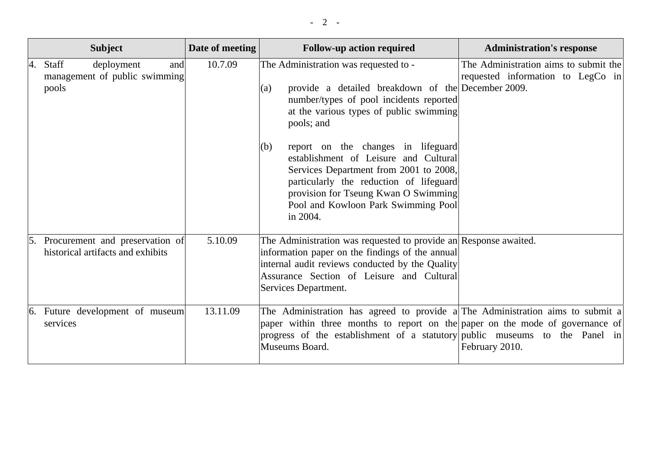|    | <b>Subject</b>                                                          | Date of meeting | <b>Follow-up action required</b>                                                                                                                                                                                                                                   | <b>Administration's response</b>                                           |
|----|-------------------------------------------------------------------------|-----------------|--------------------------------------------------------------------------------------------------------------------------------------------------------------------------------------------------------------------------------------------------------------------|----------------------------------------------------------------------------|
| 4. | Staff<br>deployment<br>and<br>management of public swimming<br>pools    | 10.7.09         | The Administration was requested to -<br>provide a detailed breakdown of the December 2009.<br>(a)<br>number/types of pool incidents reported<br>at the various types of public swimming<br>pools; and                                                             | The Administration aims to submit the<br>requested information to LegCo in |
|    |                                                                         |                 | report on the changes in lifeguard<br>(b)<br>establishment of Leisure and Cultural<br>Services Department from 2001 to 2008,<br>particularly the reduction of lifeguard<br>provision for Tseung Kwan O Swimming<br>Pool and Kowloon Park Swimming Pool<br>in 2004. |                                                                            |
|    | 5. Procurement and preservation of<br>historical artifacts and exhibits | 5.10.09         | The Administration was requested to provide an Response awaited.<br>information paper on the findings of the annual<br>internal audit reviews conducted by the Quality<br>Assurance Section of Leisure and Cultural<br>Services Department.                        |                                                                            |
|    | 6. Future development of museum<br>services                             | 13.11.09        | The Administration has agreed to provide a The Administration aims to submit a<br>paper within three months to report on the paper on the mode of governance of<br>progress of the establishment of a statutory public museums to the Panel in<br>Museums Board.   | February 2010.                                                             |